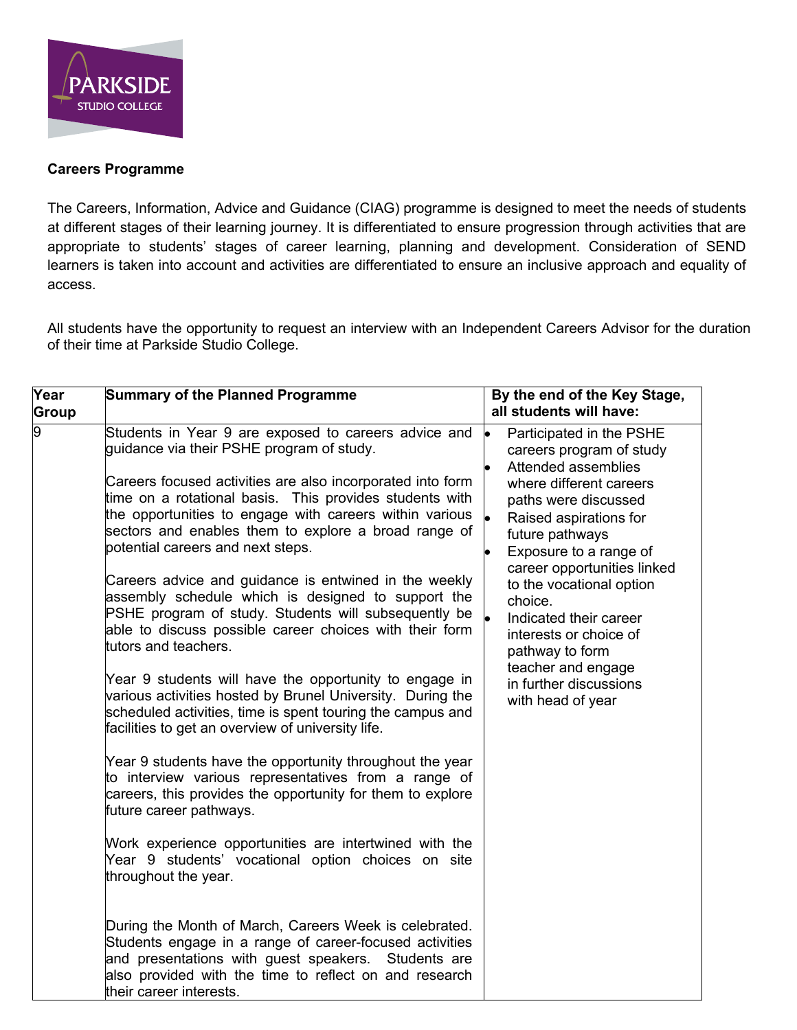

## **Careers Programme**

The Careers, Information, Advice and Guidance (CIAG) programme is designed to meet the needs of students at different stages of their learning journey. It is differentiated to ensure progression through activities that are appropriate to students' stages of career learning, planning and development. Consideration of SEND learners is taken into account and activities are differentiated to ensure an inclusive approach and equality of access.

All students have the opportunity to request an interview with an Independent Careers Advisor for the duration of their time at Parkside Studio College.

| $\overline{\mathsf{Y}}$ ear<br>Group | <b>Summary of the Planned Programme</b>                                                                                                                                                                                                                          | By the end of the Key Stage,<br>all students will have:                                                                                   |
|--------------------------------------|------------------------------------------------------------------------------------------------------------------------------------------------------------------------------------------------------------------------------------------------------------------|-------------------------------------------------------------------------------------------------------------------------------------------|
| 0                                    | Students in Year 9 are exposed to careers advice and<br>guidance via their PSHE program of study.<br>Careers focused activities are also incorporated into form                                                                                                  | <b>lo</b><br>Participated in the PSHE<br>careers program of study<br>Attended assemblies<br>where different careers                       |
|                                      | time on a rotational basis. This provides students with<br>the opportunities to engage with careers within various<br>sectors and enables them to explore a broad range of<br>potential careers and next steps.                                                  | paths were discussed<br>Raised aspirations for<br>future pathways<br>Exposure to a range of                                               |
|                                      | Careers advice and guidance is entwined in the weekly<br>assembly schedule which is designed to support the<br>PSHE program of study. Students will subsequently be<br>able to discuss possible career choices with their form<br>tutors and teachers.           | career opportunities linked<br>to the vocational option<br>choice.<br>Indicated their career<br>interests or choice of<br>pathway to form |
|                                      | Year 9 students will have the opportunity to engage in<br>various activities hosted by Brunel University. During the<br>scheduled activities, time is spent touring the campus and<br>facilities to get an overview of university life.                          | teacher and engage<br>in further discussions<br>with head of year                                                                         |
|                                      | Year 9 students have the opportunity throughout the year<br>to interview various representatives from a range of<br>careers, this provides the opportunity for them to explore<br>future career pathways.                                                        |                                                                                                                                           |
|                                      | Work experience opportunities are intertwined with the<br>Year 9 students' vocational option choices on site<br>throughout the year.                                                                                                                             |                                                                                                                                           |
|                                      | During the Month of March, Careers Week is celebrated.<br>Students engage in a range of career-focused activities<br>and presentations with guest speakers.<br>Students are<br>also provided with the time to reflect on and research<br>their career interests. |                                                                                                                                           |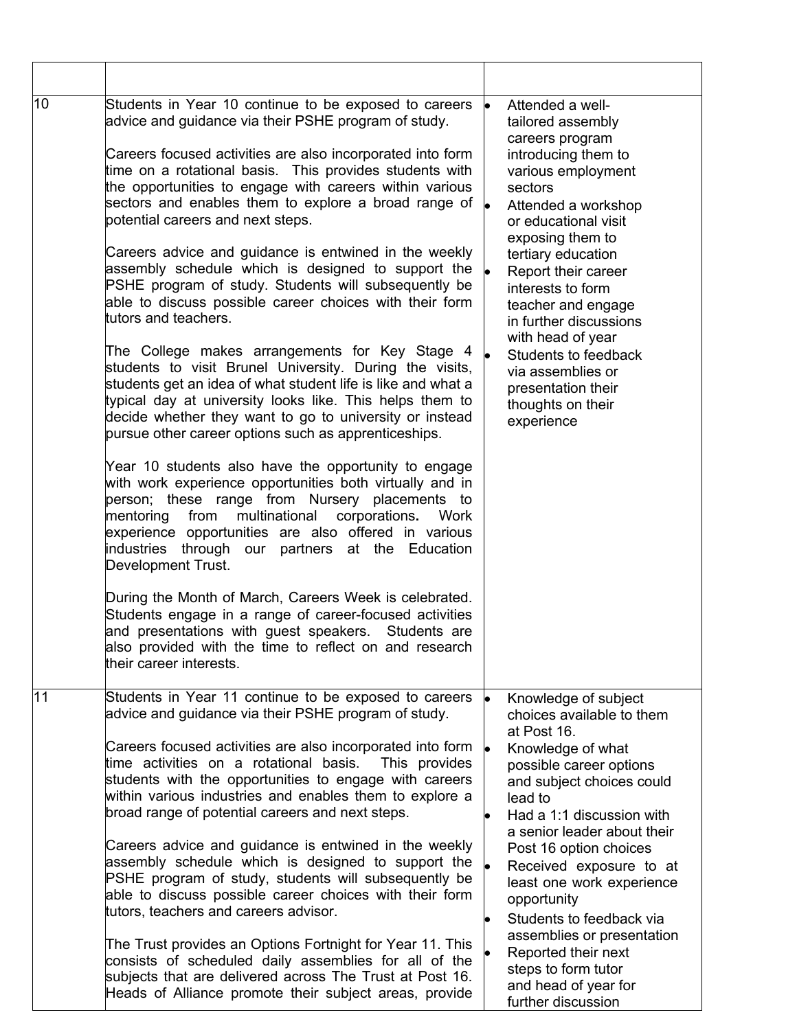| 10 | Students in Year 10 continue to be exposed to careers<br>advice and guidance via their PSHE program of study.<br>Careers focused activities are also incorporated into form<br>time on a rotational basis. This provides students with<br>the opportunities to engage with careers within various<br>sectors and enables them to explore a broad range of $\vert_{\bullet}$<br>potential careers and next steps.<br>Careers advice and guidance is entwined in the weekly<br>assembly schedule which is designed to support the $\bullet$<br>PSHE program of study. Students will subsequently be<br>able to discuss possible career choices with their form<br>tutors and teachers.<br>The College makes arrangements for Key Stage 4<br>students to visit Brunel University. During the visits,<br>students get an idea of what student life is like and what a<br>typical day at university looks like. This helps them to<br>decide whether they want to go to university or instead<br>pursue other career options such as apprenticeships.<br>Year 10 students also have the opportunity to engage<br>with work experience opportunities both virtually and in<br>person; these range from Nursery placements to<br>from<br>multinational<br>mentoring<br>corporations.<br>Work<br>experience opportunities are also offered in various<br>industries through our partners at the Education<br>Development Trust.<br>During the Month of March, Careers Week is celebrated.<br>Students engage in a range of career-focused activities<br>and presentations with guest speakers.<br>Students are<br>also provided with the time to reflect on and research<br>their career interests. |                        | Attended a well-<br>tailored assembly<br>careers program<br>introducing them to<br>various employment<br>sectors<br>Attended a workshop<br>or educational visit<br>exposing them to<br>tertiary education<br>Report their career<br>interests to form<br>teacher and engage<br>in further discussions<br>with head of year<br>Students to feedback<br>via assemblies or<br>presentation their<br>thoughts on their<br>experience |
|----|---------------------------------------------------------------------------------------------------------------------------------------------------------------------------------------------------------------------------------------------------------------------------------------------------------------------------------------------------------------------------------------------------------------------------------------------------------------------------------------------------------------------------------------------------------------------------------------------------------------------------------------------------------------------------------------------------------------------------------------------------------------------------------------------------------------------------------------------------------------------------------------------------------------------------------------------------------------------------------------------------------------------------------------------------------------------------------------------------------------------------------------------------------------------------------------------------------------------------------------------------------------------------------------------------------------------------------------------------------------------------------------------------------------------------------------------------------------------------------------------------------------------------------------------------------------------------------------------------------------------------------------------------------------------------------------------|------------------------|----------------------------------------------------------------------------------------------------------------------------------------------------------------------------------------------------------------------------------------------------------------------------------------------------------------------------------------------------------------------------------------------------------------------------------|
| 11 | Students in Year 11 continue to be exposed to careers<br>advice and guidance via their PSHE program of study.<br>Careers focused activities are also incorporated into form<br>time activities on a rotational basis.<br>This provides<br>students with the opportunities to engage with careers<br>within various industries and enables them to explore a<br>broad range of potential careers and next steps.<br>Careers advice and guidance is entwined in the weekly<br>assembly schedule which is designed to support the<br>PSHE program of study, students will subsequently be<br>able to discuss possible career choices with their form<br>tutors, teachers and careers advisor.<br>The Trust provides an Options Fortnight for Year 11. This                                                                                                                                                                                                                                                                                                                                                                                                                                                                                                                                                                                                                                                                                                                                                                                                                                                                                                                                     | $\bullet$<br>$\bullet$ | Knowledge of subject<br>choices available to them<br>at Post 16.<br>Knowledge of what<br>possible career options<br>and subject choices could<br>lead to<br>Had a 1:1 discussion with<br>a senior leader about their<br>Post 16 option choices<br>Received exposure to at<br>least one work experience<br>opportunity<br>Students to feedback via<br>assemblies or presentation                                                  |
|    | consists of scheduled daily assemblies for all of the<br>subjects that are delivered across The Trust at Post 16.<br>Heads of Alliance promote their subject areas, provide                                                                                                                                                                                                                                                                                                                                                                                                                                                                                                                                                                                                                                                                                                                                                                                                                                                                                                                                                                                                                                                                                                                                                                                                                                                                                                                                                                                                                                                                                                                 |                        | Reported their next<br>steps to form tutor<br>and head of year for<br>further discussion                                                                                                                                                                                                                                                                                                                                         |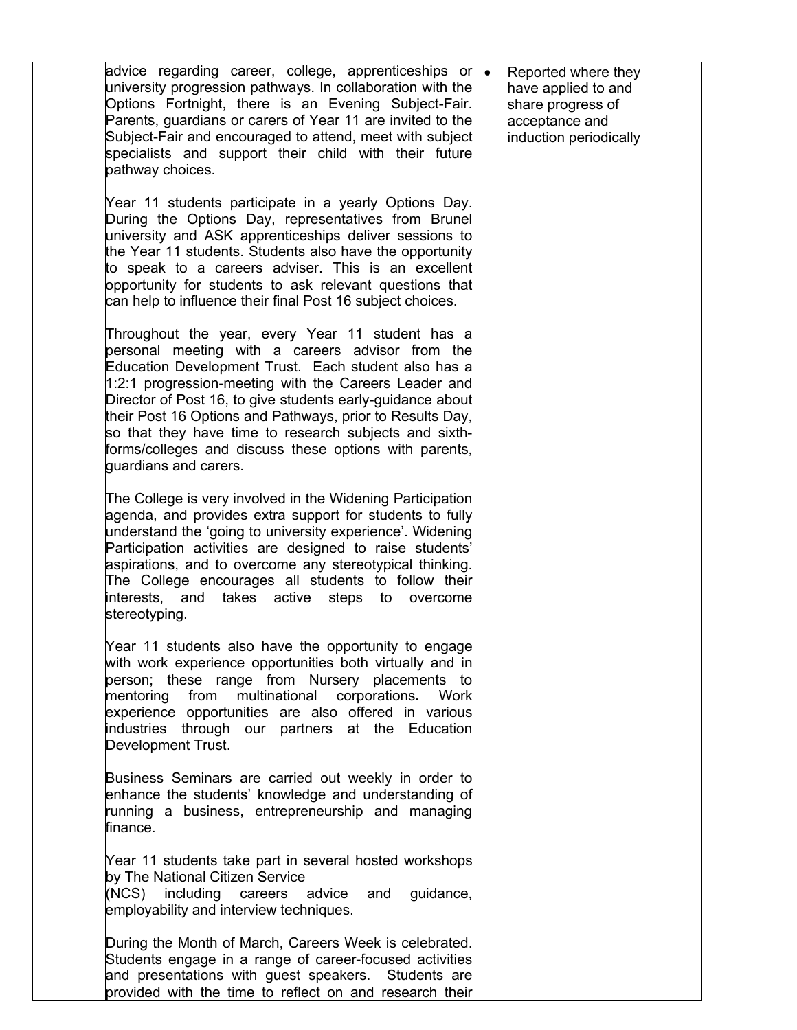advice regarding career, college, apprenticeships or university progression pathways. In collaboration with the Options Fortnight, there is an Evening Subject-Fair. Parents, guardians or carers of Year 11 are invited to the Subject-Fair and encouraged to attend, meet with subject specialists and support their child with their future pathway choices. Year 11 students participate in a yearly Options Day. During the Options Day, representatives from Brunel university and ASK apprenticeships deliver sessions to the Year 11 students. Students also have the opportunity to speak to a careers adviser. This is an excellent opportunity for students to ask relevant questions that can help to influence their final Post 16 subject choices. Throughout the year, every Year 11 student has a personal meeting with a careers advisor from the Education Development Trust. Each student also has a 1:2:1 progression-meeting with the Careers Leader and Director of Post 16, to give students early-guidance about their Post 16 Options and Pathways, prior to Results Day, so that they have time to research subjects and sixthforms/colleges and discuss these options with parents, guardians and carers. The College is very involved in the Widening Participation agenda, and provides extra support for students to fully understand the 'going to university experience'. Widening Participation activities are designed to raise students' aspirations, and to overcome any stereotypical thinking. The College encourages all students to follow their interests, and takes active steps to overcome stereotyping. Year 11 students also have the opportunity to engage with work experience opportunities both virtually and in person; these range from Nursery placements to mentoring from multinational corporations**.** Work experience opportunities are also offered in various industries through our partners at the Education Development Trust. Business Seminars are carried out weekly in order to enhance the students' knowledge and understanding of running a business, entrepreneurship and managing finance. Year 11 students take part in several hosted workshops by The National Citizen Service (NCS) including careers advice and guidance, emplovability and interview techniques. During the Month of March, Careers Week is celebrated. Students engage in a range of career-focused activities and presentations with guest speakers. Students are provided with the time to reflect on and research their • Reported where they have applied to and share progress of acceptance and induction periodically